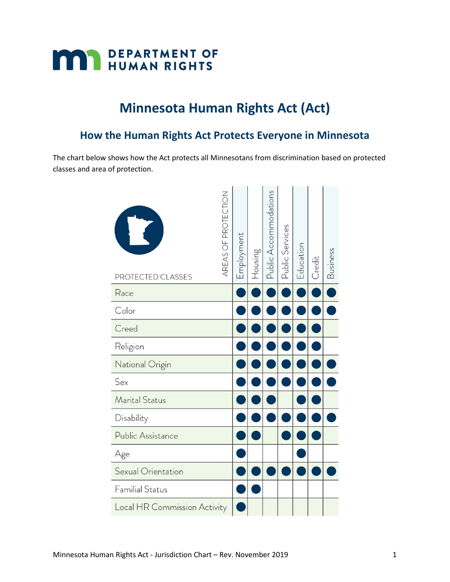

## **Minnesota Human Rights Act (Act)**

## **How the Human Rights Act Protects Everyone in Minnesota**

The chart below shows how the Act protects all Minnesotans from discrimination based on protected classes and area of protection.